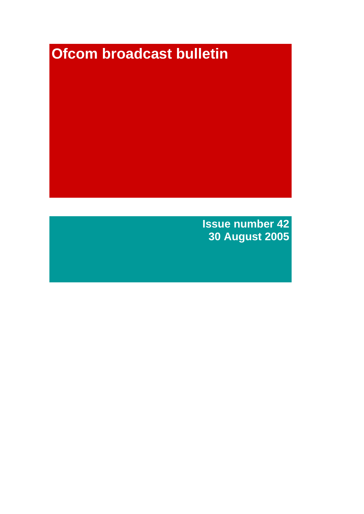# **Ofcom broadcast bulletin**

**Issue number 42 30 August 2005**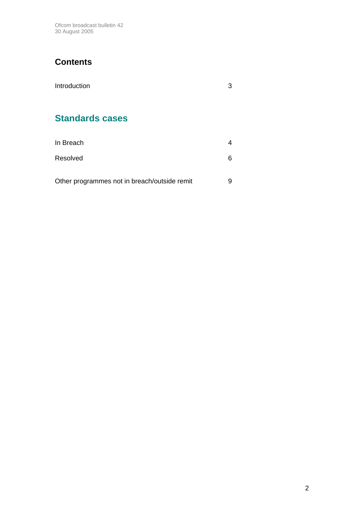Ofcom broadcast bulletin 42 30 August 2005

# **Contents**

| Introduction           | 3 |
|------------------------|---|
| <b>Standards cases</b> |   |
| In Breach              | 4 |
| Resolved               | 6 |

| Other programmes not in breach/outside remit |  |
|----------------------------------------------|--|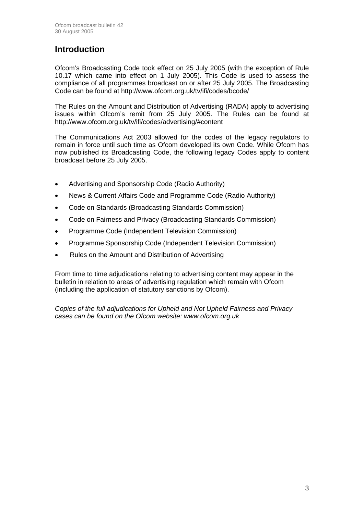### **Introduction**

Ofcom's Broadcasting Code took effect on 25 July 2005 (with the exception of Rule 10.17 which came into effect on 1 July 2005). This Code is used to assess the compliance of all programmes broadcast on or after 25 July 2005. The Broadcasting Code can be found at http://www.ofcom.org.uk/tv/ifi/codes/bcode/

The Rules on the Amount and Distribution of Advertising (RADA) apply to advertising issues within Ofcom's remit from 25 July 2005. The Rules can be found at http://www.ofcom.org.uk/tv/ifi/codes/advertising/#content

The Communications Act 2003 allowed for the codes of the legacy regulators to remain in force until such time as Ofcom developed its own Code. While Ofcom has now published its Broadcasting Code, the following legacy Codes apply to content broadcast before 25 July 2005.

- Advertising and Sponsorship Code (Radio Authority)
- News & Current Affairs Code and Programme Code (Radio Authority)
- Code on Standards (Broadcasting Standards Commission)
- Code on Fairness and Privacy (Broadcasting Standards Commission)
- Programme Code (Independent Television Commission)
- Programme Sponsorship Code (Independent Television Commission)
- Rules on the Amount and Distribution of Advertising

From time to time adjudications relating to advertising content may appear in the bulletin in relation to areas of advertising regulation which remain with Ofcom (including the application of statutory sanctions by Ofcom).

*Copies of the full adjudications for Upheld and Not Upheld Fairness and Privacy cases can be found on the Ofcom website: www.ofcom.org.uk*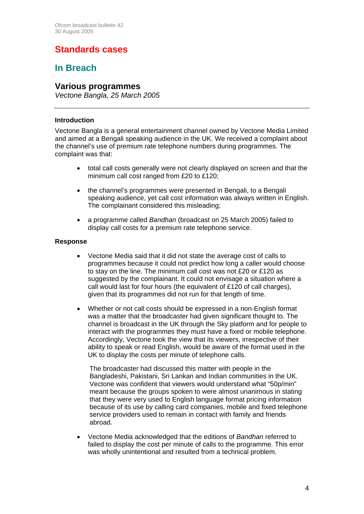# **Standards cases**

### **In Breach**

### **Various programmes**

*Vectone Bangla, 25 March 2005*

#### **Introduction**

Vectone Bangla is a general entertainment channel owned by Vectone Media Limited and aimed at a Bengali speaking audience in the UK. We received a complaint about the channel's use of premium rate telephone numbers during programmes. The complaint was that:

- total call costs generally were not clearly displayed on screen and that the minimum call cost ranged from £20 to £120;
- the channel's programmes were presented in Bengali, to a Bengali speaking audience, yet call cost information was always written in English. The complainant considered this misleading;
- a programme called *Bandhan* (broadcast on 25 March 2005) failed to display call costs for a premium rate telephone service.

#### **Response**

- Vectone Media said that it did not state the average cost of calls to programmes because it could not predict how long a caller would choose to stay on the line. The minimum call cost was not £20 or £120 as suggested by the complainant. It could not envisage a situation where a call would last for four hours (the equivalent of £120 of call charges), given that its programmes did not run for that length of time.
- Whether or not call costs should be expressed in a non-English format was a matter that the broadcaster had given significant thought to. The channel is broadcast in the UK through the Sky platform and for people to interact with the programmes they must have a fixed or mobile telephone. Accordingly, Vectone took the view that its viewers, irrespective of their ability to speak or read English, would be aware of the format used in the UK to display the costs per minute of telephone calls.

The broadcaster had discussed this matter with people in the Bangladeshi, Pakistani, Sri Lankan and Indian communities in the UK. Vectone was confident that viewers would understand what "50p/min" meant because the groups spoken to were almost unanimous in stating that they were very used to English language format pricing information because of its use by calling card companies, mobile and fixed telephone service providers used to remain in contact with family and friends abroad.

• Vectone Media acknowledged that the editions of *Bandhan* referred to failed to display the cost per minute of calls to the programme. This error was wholly unintentional and resulted from a technical problem.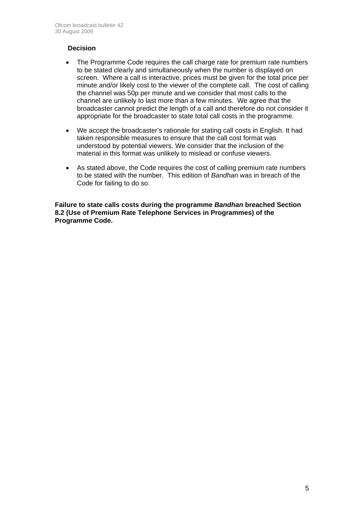#### **Decision**

- The Programme Code requires the call charge rate for premium rate numbers to be stated clearly and simultaneously when the number is displayed on screen. Where a call is interactive, prices must be given for the total price per minute and/or likely cost to the viewer of the complete call. The cost of calling the channel was 50p per minute and we consider that most calls to the channel are unlikely to last more than a few minutes. We agree that the broadcaster cannot predict the length of a call and therefore do not consider it appropriate for the broadcaster to state total call costs in the programme.
- We accept the broadcaster's rationale for stating call costs in English. It had taken responsible measures to ensure that the call cost format was understood by potential viewers. We consider that the inclusion of the material in this format was unlikely to mislead or confuse viewers.
- As stated above, the Code requires the cost of calling premium rate numbers to be stated with the number. This edition of *Bandhan* was in breach of the Code for failing to do so.

**Failure to state calls costs during the programme** *Bandhan* **breached Section 8.2 (Use of Premium Rate Telephone Services in Programmes) of the Programme Code.**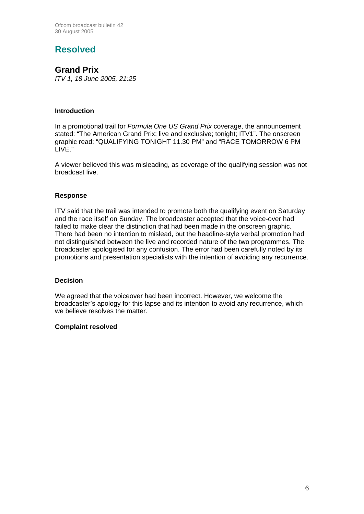# **Resolved**

### **Grand Prix**

*ITV 1, 18 June 2005, 21:25*

#### **Introduction**

In a promotional trail for *Formula One US Grand Prix* coverage, the announcement stated: "The American Grand Prix; live and exclusive; tonight; ITV1". The onscreen graphic read: "QUALIFYING TONIGHT 11.30 PM" and "RACE TOMORROW 6 PM LIVE."

A viewer believed this was misleading, as coverage of the qualifying session was not broadcast live.

#### **Response**

ITV said that the trail was intended to promote both the qualifying event on Saturday and the race itself on Sunday. The broadcaster accepted that the voice-over had failed to make clear the distinction that had been made in the onscreen graphic. There had been no intention to mislead, but the headline-style verbal promotion had not distinguished between the live and recorded nature of the two programmes. The broadcaster apologised for any confusion. The error had been carefully noted by its promotions and presentation specialists with the intention of avoiding any recurrence.

#### **Decision**

We agreed that the voiceover had been incorrect. However, we welcome the broadcaster's apology for this lapse and its intention to avoid any recurrence, which we believe resolves the matter.

#### **Complaint resolved**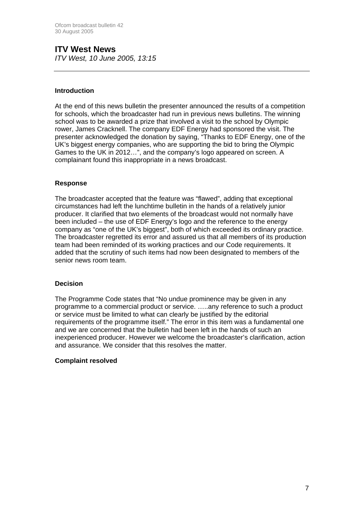#### **ITV West News**  *ITV West, 10 June 2005, 13:15*

#### **Introduction**

At the end of this news bulletin the presenter announced the results of a competition for schools, which the broadcaster had run in previous news bulletins. The winning school was to be awarded a prize that involved a visit to the school by Olympic rower, James Cracknell. The company EDF Energy had sponsored the visit. The presenter acknowledged the donation by saying, "Thanks to EDF Energy, one of the UK's biggest energy companies, who are supporting the bid to bring the Olympic Games to the UK in 2012…", and the company's logo appeared on screen. A complainant found this inappropriate in a news broadcast.

#### **Response**

The broadcaster accepted that the feature was "flawed", adding that exceptional circumstances had left the lunchtime bulletin in the hands of a relatively junior producer. It clarified that two elements of the broadcast would not normally have been included – the use of EDF Energy's logo and the reference to the energy company as "one of the UK's biggest", both of which exceeded its ordinary practice. The broadcaster regretted its error and assured us that all members of its production team had been reminded of its working practices and our Code requirements. It added that the scrutiny of such items had now been designated to members of the senior news room team.

#### **Decision**

The Programme Code states that "No undue prominence may be given in any programme to a commercial product or service. …..any reference to such a product or service must be limited to what can clearly be justified by the editorial requirements of the programme itself." The error in this item was a fundamental one and we are concerned that the bulletin had been left in the hands of such an inexperienced producer. However we welcome the broadcaster's clarification, action and assurance. We consider that this resolves the matter.

#### **Complaint resolved**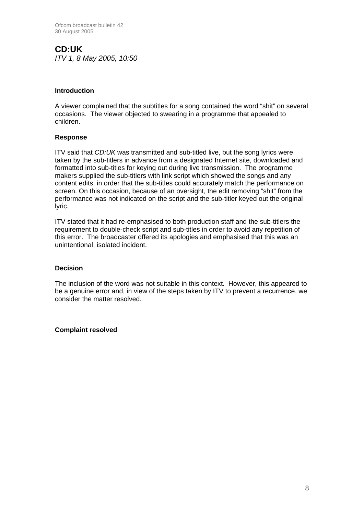**CD:UK**  *ITV 1, 8 May 2005, 10:50*

#### **Introduction**

A viewer complained that the subtitles for a song contained the word "shit" on several occasions. The viewer objected to swearing in a programme that appealed to children.

#### **Response**

ITV said that *CD:UK* was transmitted and sub-titled live, but the song lyrics were taken by the sub-titlers in advance from a designated Internet site, downloaded and formatted into sub-titles for keying out during live transmission. The programme makers supplied the sub-titlers with link script which showed the songs and any content edits, in order that the sub-titles could accurately match the performance on screen. On this occasion, because of an oversight, the edit removing "shit" from the performance was not indicated on the script and the sub-titler keyed out the original lyric.

ITV stated that it had re-emphasised to both production staff and the sub-titlers the requirement to double-check script and sub-titles in order to avoid any repetition of this error. The broadcaster offered its apologies and emphasised that this was an unintentional, isolated incident.

#### **Decision**

The inclusion of the word was not suitable in this context. However, this appeared to be a genuine error and, in view of the steps taken by ITV to prevent a recurrence, we consider the matter resolved.

#### **Complaint resolved**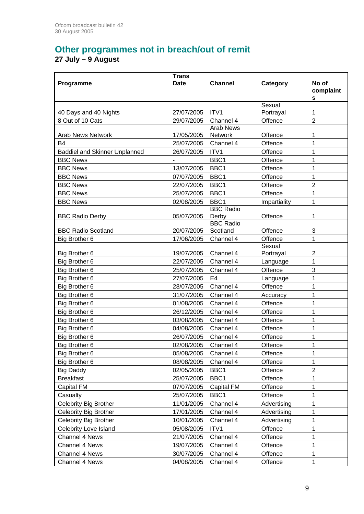# **Other programmes not in breach/out of remit**

#### **27 July – 9 August**

|                                      | <b>Trans</b>             |                  |                    |                     |
|--------------------------------------|--------------------------|------------------|--------------------|---------------------|
| Programme                            | <b>Date</b>              | <b>Channel</b>   | Category           | No of               |
|                                      |                          |                  |                    | complaint<br>s      |
|                                      |                          |                  | Sexual             |                     |
| 40 Days and 40 Nights                | 27/07/2005               | ITV1             | Portrayal          | 1                   |
| 8 Out of 10 Cats                     | 29/07/2005               | Channel 4        | Offence            | $\overline{2}$      |
|                                      |                          | <b>Arab News</b> |                    |                     |
| <b>Arab News Network</b>             | 17/05/2005               | Network          | Offence            | 1                   |
| <b>B4</b>                            | 25/07/2005               | Channel 4        | Offence            | 1                   |
| <b>Baddiel and Skinner Unplanned</b> | 26/07/2005               | ITV1             | Offence            | 1                   |
| <b>BBC News</b>                      |                          | BBC1             | Offence            | 1                   |
| <b>BBC News</b>                      | 13/07/2005               | BBC1             | Offence            | 1                   |
| <b>BBC News</b><br><b>BBC News</b>   | 07/07/2005<br>22/07/2005 | BBC1<br>BBC1     | Offence<br>Offence | 1<br>$\overline{2}$ |
| <b>BBC News</b>                      | 25/07/2005               | BBC1             | Offence            |                     |
| <b>BBC News</b>                      | 02/08/2005               | BBC1             |                    | 1<br>1              |
|                                      |                          | <b>BBC Radio</b> | Impartiality       |                     |
| <b>BBC Radio Derby</b>               | 05/07/2005               | Derby            | Offence            | 1                   |
|                                      |                          | <b>BBC Radio</b> |                    |                     |
| <b>BBC Radio Scotland</b>            | 20/07/2005               | Scotland         | Offence            | 3                   |
| Big Brother 6                        | 17/06/2005               | Channel 4        | Offence            | 1                   |
|                                      |                          |                  | Sexual             |                     |
| Big Brother 6                        | 19/07/2005               | Channel 4        | Portrayal          | $\overline{2}$      |
| Big Brother 6                        | 22/07/2005               | Channel 4        | Language           | 1                   |
| Big Brother 6                        | 25/07/2005               | Channel 4        | Offence            | 3                   |
| Big Brother 6                        | 27/07/2005               | E4               | Language           | 1                   |
| Big Brother 6                        | 28/07/2005               | Channel 4        | Offence            | 1                   |
| Big Brother 6                        | 31/07/2005               | Channel 4        | Accuracy           | 1                   |
| Big Brother 6                        | 01/08/2005               | Channel 4        | Offence            | 1                   |
| Big Brother 6                        | 26/12/2005               | Channel 4        | Offence            | 1                   |
| Big Brother 6                        | 03/08/2005               | Channel 4        | Offence            | 1                   |
| Big Brother 6                        | 04/08/2005               | Channel 4        | Offence            | 1                   |
| Big Brother 6                        | 26/07/2005               | Channel 4        | Offence            | 1                   |
| Big Brother 6                        | 02/08/2005               | Channel 4        | Offence            | $\mathbf{1}$        |
| Big Brother 6                        | 05/08/2005               | Channel 4        | Offence            | 1                   |
| Big Brother 6                        | 08/08/2005               | Channel 4        | Offence            | 1                   |
| <b>Big Daddy</b>                     | 02/05/2005               | BBC1             | Offence            | $\overline{2}$      |
| <b>Breakfast</b>                     | 25/07/2005               | BBC1             | Offence            | 1                   |
| Capital FM                           | 07/07/2005               | Capital FM       | Offence            | 1                   |
| Casualty                             | 25/07/2005               | BBC1             | Offence            | 1                   |
| <b>Celebrity Big Brother</b>         | 11/01/2005               | Channel 4        | Advertising        | 1                   |
| Celebrity Big Brother                | 17/01/2005               | Channel 4        | Advertising        | 1                   |
| Celebrity Big Brother                | 10/01/2005               | Channel 4        | Advertising        | 1                   |
| Celebrity Love Island                | 05/08/2005               | ITV1             | Offence            | 1                   |
| Channel 4 News                       | 21/07/2005               | Channel 4        | Offence            | 1                   |
| Channel 4 News                       | 19/07/2005               | Channel 4        | Offence            | 1                   |
| Channel 4 News                       | 30/07/2005               | Channel 4        | Offence            | 1                   |
| Channel 4 News                       | 04/08/2005               | Channel 4        | Offence            | 1                   |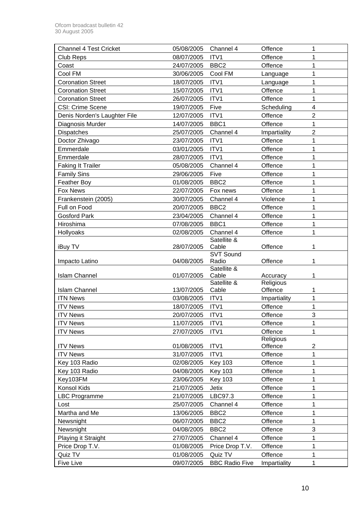| <b>Channel 4 Test Cricket</b> | 05/08/2005 | Channel 4            | Offence               | 1                       |
|-------------------------------|------------|----------------------|-----------------------|-------------------------|
| <b>Club Reps</b>              | 08/07/2005 | ITV1                 | Offence               | 1                       |
| Coast                         | 24/07/2005 | BBC <sub>2</sub>     | Offence               | 1                       |
| Cool FM                       | 30/06/2005 | Cool FM              | Language              | 1                       |
| <b>Coronation Street</b>      | 18/07/2005 | ITV1                 | Language              | 1                       |
| <b>Coronation Street</b>      | 15/07/2005 | ITV1                 | Offence               | 1                       |
| <b>Coronation Street</b>      | 26/07/2005 | ITV1                 | Offence               | 1                       |
| <b>CSI: Crime Scene</b>       | 19/07/2005 | Five                 | Scheduling            | $\overline{\mathbf{4}}$ |
| Denis Norden's Laughter File  | 12/07/2005 | ITV1                 | Offence               | $\overline{2}$          |
| Diagnosis Murder              | 14/07/2005 | BBC1                 | Offence               | 1                       |
| Dispatches                    | 25/07/2005 | Channel 4            | Impartiality          | $\overline{2}$          |
| Doctor Zhivago                | 23/07/2005 | ITV1                 | Offence               | 1                       |
| Emmerdale                     | 03/01/2005 | ITV1                 | Offence               | 1                       |
| Emmerdale                     | 28/07/2005 | ITV1                 | Offence               | 1                       |
| <b>Faking It Trailer</b>      | 05/08/2005 | Channel 4            | Offence               | 1                       |
| <b>Family Sins</b>            | 29/06/2005 | Five                 | Offence               | 1                       |
| Feather Boy                   | 01/08/2005 | BBC <sub>2</sub>     | Offence               | 1                       |
| <b>Fox News</b>               | 22/07/2005 | Fox news             | Offence               | 1                       |
| Frankenstein (2005)           | 30/07/2005 | Channel 4            | Violence              | 1                       |
| Full on Food                  | 20/07/2005 | BBC <sub>2</sub>     | Offence               | 1                       |
| <b>Gosford Park</b>           | 23/04/2005 | Channel 4            | Offence               | 1                       |
| Hiroshima                     | 07/08/2005 | BBC1                 | Offence               | 1                       |
| Hollyoaks                     | 02/08/2005 | Channel 4            | Offence               | 1                       |
|                               |            | Satellite &          |                       |                         |
| iBuy TV                       | 28/07/2005 | Cable                | Offence               | 1                       |
|                               |            | <b>SVT Sound</b>     |                       |                         |
| Impacto Latino                | 04/08/2005 | Radio                | Offence               | 1                       |
|                               |            | Satellite &<br>Cable |                       | 1                       |
| <b>Islam Channel</b>          | 01/07/2005 | Satellite &          | Accuracy<br>Religious |                         |
| <b>Islam Channel</b>          | 13/07/2005 | Cable                | Offence               | 1                       |
| <b>ITN News</b>               | 03/08/2005 | ITV1                 | Impartiality          | 1                       |
| <b>ITV News</b>               | 18/07/2005 | ITV1                 | Offence               | 1                       |
| <b>ITV News</b>               | 20/07/2005 | ITV1                 | Offence               | 3                       |
| <b>ITV News</b>               | 11/07/2005 | ITV1                 | Offence               | 1                       |
| <b>ITV News</b>               | 27/07/2005 | ITV1                 | Offence               | 1                       |
|                               |            |                      | Religious             |                         |
| <b>ITV News</b>               | 01/08/2005 | ITV1                 | Offence               | $\overline{\mathbf{c}}$ |
| <b>ITV News</b>               | 31/07/2005 | ITV1                 | Offence               | 1                       |
| Key 103 Radio                 | 02/08/2005 | <b>Key 103</b>       | Offence               | 1                       |
| Key 103 Radio                 | 04/08/2005 | <b>Key 103</b>       | Offence               | 1                       |
| Key103FM                      | 23/06/2005 | <b>Key 103</b>       | Offence               | 1                       |
| Konsol Kids                   | 21/07/2005 | Jetix                | Offence               | 1                       |
| <b>LBC Programme</b>          | 21/07/2005 | LBC97.3              | Offence               | 1                       |
| Lost                          | 25/07/2005 | Channel 4            | Offence               | 1                       |
| Martha and Me                 | 13/06/2005 | BBC <sub>2</sub>     | Offence               | 1                       |
| Newsnight                     | 06/07/2005 | BBC <sub>2</sub>     | Offence               | 1                       |
| Newsnight                     | 04/08/2005 | BBC <sub>2</sub>     | Offence               | $\mathsf 3$             |
| Playing it Straight           | 27/07/2005 | Channel 4            | Offence               | 1                       |
| Price Drop T.V.               | 01/08/2005 | Price Drop T.V.      | Offence               | 1                       |
|                               |            |                      |                       |                         |
| Quiz TV                       | 01/08/2005 | Quiz TV              | Offence               | 1                       |